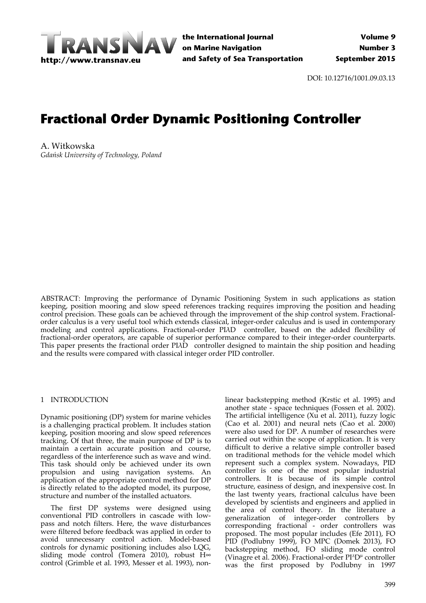

DOI: 10.12716/1001.09.03.13

# **Fractional Order Dynamic Positioning Controller**

A. Witkowska *Gdańsk University of Technology, Poland*

ABSTRACT: Improving the performance of Dynamic Positioning System in such applications as station keeping, position mooring and slow speed references tracking requires improving the position and heading control precision. These goals can be achieved through the improvement of the ship control system. Fractionalorder calculus is a very useful tool which extends classical, integer‐order calculus and is used in contemporary modeling and control applications. Fractional‐order PIλD controller, based on the added flexibility of fractional-order operators, are capable of superior performance compared to their integer-order counterparts. This paper presents the fractional order PIAD controller designed to maintain the ship position and heading and the results were compared with classical integer order PID controller.

# 1 INTRODUCTION

Dynamic positioning (DP) system for marine vehicles is a challenging practical problem. It includes station keeping, position mooring and slow speed references tracking. Of that three, the main purpose of DP is to maintain a certain accurate position and course, regardless of the interference such as wave and wind. This task should only be achieved under its own propulsion and using navigation systems. An application of the appropriate control method for DP is directly related to the adopted model, its purpose, structure and number of the installed actuators.

The first DP systems were designed using conventional PID controllers in cascade with low‐ pass and notch filters. Here, the wave disturbances were filtered before feedback was applied in order to avoid unnecessary control action. Model‐based controls for dynamic positioning includes also LQG, sliding mode control (Tomera 2010), robust H∞ control (Grimble et al. 1993, Messer et al. 1993), non‐

linear backstepping method (Krstic et al. 1995) and another state - space techniques (Fossen et al. 2002). The artificial intelligence (Xu et al. 2011), fuzzy logic (Cao et al. 2001) and neural nets (Cao et al. 2000) were also used for DP. A number of researches were carried out within the scope of application. It is very difficult to derive a relative simple controller based on traditional methods for the vehicle model which represent such a complex system. Nowadays, PID controller is one of the most popular industrial controllers. It is because of its simple control structure, easiness of design, and inexpensive cost. In the last twenty years, fractional calculus have been developed by scientists and engineers and applied in the area of control theory. In the literature a generalization of integer‐order controllers by corresponding fractional ‐ order controllers was proposed. The most popular includes (Efe 2011), FO PID (Podlubny 1999), FO MPC (Domek 2013), FO backstepping method, FO sliding mode control (Vinagre et al. 2006). Fractional-order PI^D<sup>µ</sup> controller was the first proposed by Podlubny in 1997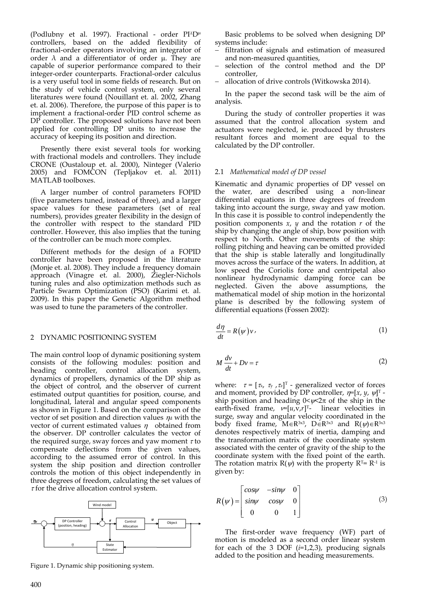(Podlubny et al. 1997). Fractional - order PI^D<sup>µ</sup> controllers, based on the added flexibility of fractional‐order operators involving an integrator of order  $\lambda$  and a differentiator of order  $\mu$ . They are capable of superior performance compared to their integer‐order counterparts. Fractional‐order calculus is a very useful tool in some fields of research. But on the study of vehicle control system, only several literatures were found (Nouillant et. al. 2002, Zhang et. al. 2006). Therefore, the purpose of this paper is to implement a fractional-order PID control scheme as DP controller. The proposed solutions have not been applied for controlling DP units to increase the accuracy of keeping its position and direction.

Presently there exist several tools for working with fractional models and controllers. They include CRONE (Oustaloup et. al. 2000), Ninteger (Valerio 2005) and FOMCON (Tepljakov et. al. 2011) MATLAB toolboxes.

A larger number of control parameters FOPID (five parameters tuned, instead of three), and a larger space values for these parameters (set of real numbers), provides greater flexibility in the design of the controller with respect to the standard PID controller. However, this also implies that the tuning of the controller can be much more complex.

Different methods for the design of a FOPID controller have been proposed in the literature (Monje et. al. 2008). They include a frequency domain approach (Vinagre et. al. 2000), Ziegler‐Nichols tuning rules and also optimization methods such as Particle Swarm Optimization (PSO) (Karimi et. al. 2009). In this paper the Genetic Algorithm method was used to tune the parameters of the controller.

## 2 DYNAMIC POSITIONING SYSTEM

The main control loop of dynamic positioning system consists of the following modules: position and heading controller, control allocation system, dynamics of propellers, dynamics of the DP ship as the object of control, and the observer of current estimated output quantities for position, course, and longitudinal, lateral and angular speed components as shown in Figure 1. Based on the comparison of the vector of set position and direction values  $\eta_d$  with the vector of current estimated values  $\eta$  obtained from the observer. DP controller calculates the vector of the required surge, sway forces and yaw moment  $\tau$  to compensate deflections from the given values, according to the assumed error of control. In this system the ship position and direction controller controls the motion of this object independently in three degrees of freedom, calculating the set values of  $\tau$  for the drive allocation control system.



Figure 1. Dynamic ship positioning system.

Basic problems to be solved when designing DP systems include:

- filtration of signals and estimation of measured and non‐measured quantities,
- selection of the control method and the DP controller,
- allocation of drive controls (Witkowska 2014).

In the paper the second task will be the aim of analysis.

During the study of controller properties it was assumed that the control allocation system and actuators were neglected, ie. produced by thrusters resultant forces and moment are equal to the calculated by the DP controller.

#### 2.1 *Mathematical model of DP vessel*

Kinematic and dynamic properties of DP vessel on the water, are described using a non-linear differential equations in three degrees of freedom taking into account the surge, sway and yaw motion. In this case it is possible to control independently the position components *x*, *y* and the rotation *r* of the ship by changing the angle of ship, bow position with respect to North. Other movements of the ship: rolling pitching and heaving can be omitted provided that the ship is stable laterally and longitudinally moves across the surface of the waters. In addition, at low speed the Coriolis force and centripetal also nonlinear hydrodynamic damping force can be neglected. Given the above assumptions, the mathematical model of ship motion in the horizontal plane is described by the following system of differential equations (Fossen 2002):

$$
\frac{d\eta}{dt} = R(\psi)\nu\tag{1}
$$

$$
M\frac{dv}{dt} + Dv = \tau
$$
 (2)

where:  $\tau = [\tau_x, \tau_y, \tau_z]^T$  - generalized vector of forces and moment, provided by DP controller,  $\eta = [x, y, \psi]^{T}$  ship position and heading  $0<\psi<2\pi$  of the ship in the earth-fixed frame,  $v=[u,v,r]^{T}$ - linear velocities in surge, sway and angular velocity coordinated in the body fixed frame,  $M \in \mathbb{R}^{3\times3}$ ,  $D \in \mathbb{R}^{3\times3}$  and  $R(\psi) \in \mathbb{R}^{3\times3}$ denotes respectively matrix of inertia, damping and the transformation matrix of the coordinate system associated with the center of gravity of the ship to the coordinate system with the fixed point of the earth. The rotation matrix  $R(\psi)$  with the property  $R^{T} = R^{-1}$  is given by:

$$
R(\psi) = \begin{bmatrix} cos\psi & -sin\psi & 0 \\ sin\psi & cos\psi & 0 \\ 0 & 0 & 1 \end{bmatrix}
$$
 (3)

The first-order wave frequency (WF) part of motion is modeled as a second order linear system for each of the 3 DOF (*i*=1,2,3), producing signals added to the position and heading measurements.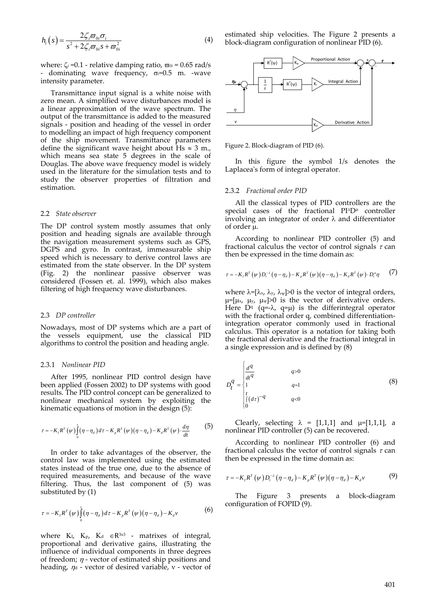$$
h_i(s) = \frac{2\zeta_i \varpi_{0i} \sigma_i}{s^2 + 2\zeta_i \varpi_{0i} s + \varpi_{0i}^2}
$$
(4)

where:  $\zeta_i$  =0.1 - relative damping ratio,  $\varpi_{0i}$  = 0.65 rad/s - dominating wave frequency,  $\sigma=0.5$  m. -wave intensity parameter.

Transmittance input signal is a white noise with zero mean. A simplified wave disturbances model is a linear approximation of the wave spectrum. The output of the transmittance is added to the measured signals - position and heading of the vessel in order to modelling an impact of high frequency component of the ship movement. Transmittance parameters define the significant wave height about  $\text{Hs} \approx 3$  m., which means sea state 5 degrees in the scale of Douglas. The above wave frequency model is widely used in the literature for the simulation tests and to study the observer properties of filtration and estimation.

#### 2.2 *State observer*

The DP control system mostly assumes that only position and heading signals are available through the navigation measurement systems such as GPS, DGPS and gyro. In contrast, immeasurable ship speed which is necessary to derive control laws are estimated from the state observer. In the DP system (Fig. 2) the nonlinear passive observer was considered (Fossen et. al. 1999), which also makes filtering of high frequency wave disturbances.

#### 2.3 *DP controller*

Nowadays, most of DP systems which are a part of the vessels equipment, use the classical PID algorithms to control the position and heading angle.

#### 2.3.1 *Nonlinear PID*

After 1995, nonlinear PID control design have been applied (Fossen 2002) to DP systems with good results. The PID control concept can be generalized to nonlinear mechanical system by exploiting the kinematic equations of motion in the design (5):

$$
\tau = -K_{I}R^{T}(\psi)\int_{0}^{t}(\eta - \eta_{d})d\tau - K_{p}R^{T}(\psi)(\eta - \eta_{d}) - K_{d}R^{T}(\psi)\cdot\frac{d\eta}{dt}
$$
(5)

In order to take advantages of the observer, the control law was implemented using the estimated states instead of the true one, due to the absence of required measurements, and because of the wave filtering. Thus, the last component of (5) was substituted by (1)

$$
\tau = -K_I R^T(\psi) \int_0^t (\eta - \eta_d) d\tau - K_p R^T(\psi) (\eta - \eta_d) - K_d \nu \tag{6}
$$

where  $K_I$ ,  $K_P$ ,  $K_d \in \mathbb{R}^{3 \times 3}$  - matrixes of integral, proportional and derivative gains, illustrating the influence of individual components in three degrees of freedom;  $\eta$  - vector of estimated ship positions and heading,  $\eta_d$  - vector of desired variable,  $v$  - vector of estimated ship velocities. The Figure 2 presents a block‐diagram configuration of nonlinear PID (6).



Figure 2. Block‐diagram of PID (6).

In this figure the symbol 1/s denotes the Laplacea's form of integral operator.

#### 2.3.2 *Fractional order PID*

All the classical types of PID controllers are the special cases of the fractional  $PI^{\wedge}D^{\mu}$  controller involving an integrator of order  $\lambda$  and differentiator of order  $\mu$ .

According to nonlinear PID controller (5) and fractional calculus the vector of control signals  $\tau$  can then be expressed in the time domain as:

$$
\tau = -K_{I}R^{T}(w)D_{i}^{-\lambda}(\eta - \eta_{d}) - K_{p}R^{T}(w)(\eta - \eta_{d}) - K_{d}R^{T}(w) \cdot D_{i}^{\mu}\eta \qquad (7)
$$

where  $\lambda = [\lambda_x, \lambda_y, \lambda_y] > 0$  is the vector of integral orders,  $\mu=[\mu_x, \mu_y, \mu_y]>0$  is the vector of derivative orders. Here  $D^q$  (q=- $\lambda$ , q= $\mu$ ) is the differintegral operator with the fractional order q, combined differentiationintegration operator commonly used in fractional calculus. This operator is a notation for taking both the fractional derivative and the fractional integral in a single expression and is defined by (8)

$$
D_{t}^{q} = \begin{cases} \frac{d^{q}}{dt^{q}} & q>0\\ 1 & q=1\\ \frac{t}{\int_{0}^{t} (d\tau)^{-q}} & q<0 \end{cases}
$$
 (8)

Clearly, selecting  $\lambda = [1,1,1]$  and  $\mu=[1,1,1]$ , a nonlinear PID controller (5) can be recovered.

According to nonlinear PID controller (6) and fractional calculus the vector of control signals  $\tau$  can then be expressed in the time domain as:

$$
\tau = -K_{I}R^{T}(\psi)D_{t}^{-\lambda}(\eta - \eta_{d}) - K_{p}R^{T}(\psi)(\eta - \eta_{d}) - K_{d}\nu
$$
\n(9)

The Figure 3 presents a block‐diagram configuration of FOPID (9).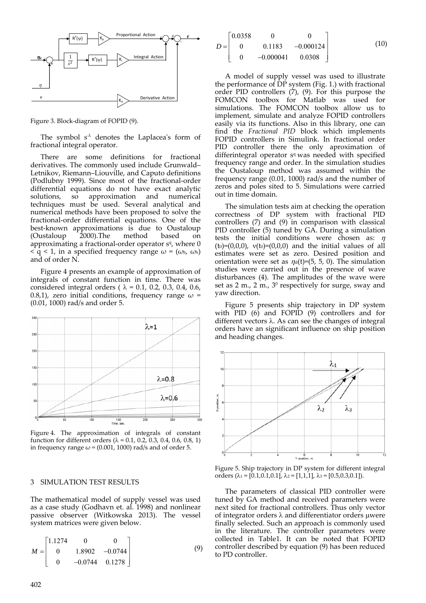

Figure 3. Block‐diagram of FOPID (9).

The symbol  $s^{\lambda}$  denotes the Laplacea's form of fractional integral operator.

There are some definitions for fractional derivatives. The commonly used include Grunwald– Letnikov, Riemann–Liouville, and Caputo definitions (Podlubny 1999). Since most of the fractional‐order differential equations do not have exact analytic solutions, so approximation and numerical so approximation and numerical techniques must be used. Several analytical and numerical methods have been proposed to solve the fractional‐order differential equations. One of the best-known approximations is due to Oustaloup (Oustaloup 2000).The method based on approximating a fractional-order operator  $s<sup>q</sup>$ , where 0  $\leq q \leq 1$ , in a specified frequency range  $\omega = (\omega_{\rm b}, \omega_{\rm h})$ and of order N.

Figure 4 presents an example of approximation of integrals of constant function in time. There was considered integral orders ( $\lambda = 0.1$ , 0.2, 0.3, 0.4, 0.6, 0.8,1), zero initial conditions, frequency range  $\omega$  = (0.01, 1000) rad/s and order 5.



Figure 4. The approximation of integrals of constant function for different orders ( $\lambda$  = 0.1, 0.2, 0.3, 0.4, 0.6, 0.8, 1) in frequency range  $\omega$  = (0.001, 1000) rad/s and of order 5.

## 3 SIMULATION TEST RESULTS

The mathematical model of supply vessel was used as a case study (Godhavn et. al. 1998) and nonlinear passive observer (Witkowska 2013). The vessel system matrices were given below.

$$
M = \begin{bmatrix} 1.1274 & 0 & 0 \\ 0 & 1.8902 & -0.0744 \\ 0 & -0.0744 & 0.1278 \end{bmatrix}
$$
 (9)

$$
D = \begin{bmatrix} 0.0358 & 0 & 0 \\ 0 & 0.1183 & -0.000124 \\ 0 & -0.000041 & 0.0308 \end{bmatrix}
$$
 (10)

A model of supply vessel was used to illustrate the performance of  $\overrightarrow{DP}$  system (Fig. 1.) with fractional order PID controllers (7), (9). For this purpose the FOMCON toolbox for Matlab was used for simulations. The FOMCON toolbox allow us to implement, simulate and analyze FOPID controllers easily via its functions. Also in this library, one can find the *Fractional PID* block which implements FOPID controllers in Simulink. In fractional order PID controller there the only aproximation of differintegral operator  $s<sup>q</sup>$  was needed with specified frequency range and order. In the simulation studies the Oustaloup method was assumed within the frequency range (0.01, 1000) rad/s and the number of zeros and poles sited to 5. Simulations were carried out in time domain.

The simulation tests aim at checking the operation correctness of DP system with fractional PID controllers (7) and (9) in comparison with classical PID controller (5) tuned by GA. During a simulation tests the initial conditions were chosen as:  $\eta$ (to)=(0,0,0),  $v(t0)=(0,0,0)$  and the initial values of all estimates were set as zero. Desired position and orientation were set as  $\eta_d(t)=(5, 5, 0)$ . The simulation studies were carried out in the presence of wave disturbances  $(4)$ . The amplitudes of the wave were set as  $2 \text{ m}$ .,  $2 \text{ m}$ .,  $3^0$  respectively for surge, sway and yaw direction.

Figure 5 presents ship trajectory in DP system with PID (6) and FOPID (9) controllers and for different vectors  $\lambda$ . As can see the changes of integral orders have an significant influence on ship position and heading changes.



Figure 5. Ship trajectory in DP system for different integral orders  $(\lambda_1 = [0.1, 0.1, 0.1], \lambda_2 = [1, 1, 1], \lambda_3 = [0.5, 0.3, 0.1]).$ 

The parameters of classical PID controller were tuned by GA method and received parameters were next sited for fractional controllers. Thus only vector of integrator orders  $\lambda$  and differentiator orders uwere finally selected. Such an approach is commonly used in the literature. The controller parameters were collected in Table1. It can be noted that FOPID controller described by equation (9) has been reduced to PD controller.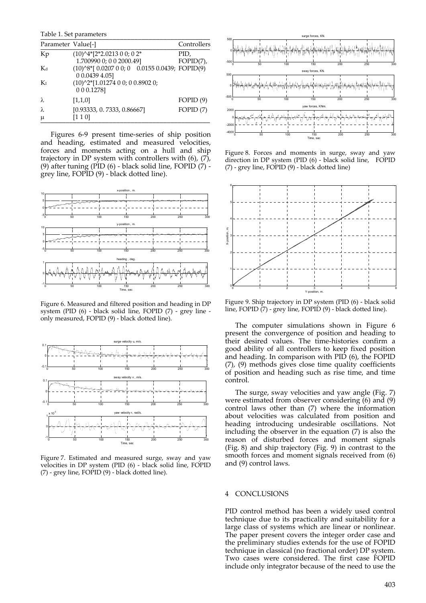Table 1. Set parameters \_\_\_\_\_\_\_\_\_\_\_\_\_\_\_\_\_\_\_\_\_\_\_\_\_\_\_\_\_\_\_\_\_\_\_\_\_\_\_\_\_\_\_\_\_\_\_

| Parameter Value[-] |                                                                   | Controllers          |
|--------------------|-------------------------------------------------------------------|----------------------|
| Kp                 | $(10)^{4*}$ [2*2.0213 0 0; 0 2*<br>1.700990 0; 0 0 2000.49]       | PID,<br>$FOPID(7)$ , |
| Kd                 | $(10)^8$ * $[0.020700; 0.01550.0439; FOPID(9)]$<br>0 0.0439 4.051 |                      |
| $K_{I}$            | (10)^2*[1.01274 0 0; 0 0.8902 0;<br>0 0 0.1278]                   |                      |
|                    | [1,1,0]                                                           | FOPID(9)             |
| λ<br>μ             | [0.93333, 0.7333, 0.86667]<br>[1 1 0]                             | FOPID $(7)$          |

Figures 6‐9 present time‐series of ship position and heading, estimated and measured velocities, forces and moments acting on a hull and ship trajectory in DP system with controllers with (6), (7), (9) after tuning (PID (6) ‐ black solid line, FOPID (7) ‐ grey line, FOPID (9) ‐ black dotted line).



Figure 6. Measured and filtered position and heading in DP system (PID (6) - black solid line, FOPID (7) - grey line only measured, FOPID (9) ‐ black dotted line).



Figure 7. Estimated and measured surge, sway and yaw velocities in DP system (PID (6) - black solid line, FOPID (7) ‐ grey line, FOPID (9) ‐ black dotted line).



Figure 8. Forces and moments in surge, sway and yaw direction in DP system (PID (6) - black solid line, FOPID (7) ‐ grey line, FOPID (9) ‐ black dotted line)



Figure 9. Ship trajectory in DP system (PID (6) ‐ black solid line, FOPID (7) ‐ grey line, FOPID (9) ‐ black dotted line).

The computer simulations shown in Figure 6 present the convergence of position and heading to their desired values. The time‐histories confirm a good ability of all controllers to keep fixed position and heading. In comparison with PID (6), the FOPID (7), (9) methods gives close time quality coefficients of position and heading such as rise time, and time control.

The surge, sway velocities and yaw angle (Fig. 7) were estimated from observer considering (6) and (9) control laws other than (7) where the information about velocities was calculated from position and heading introducing undesirable oscillations. Not including the observer in the equation (7) is also the reason of disturbed forces and moment signals (Fig. 8) and ship trajectory (Fig. 9) in contrast to the smooth forces and moment signals received from (6) and (9) control laws.

## 4 CONCLUSIONS

PID control method has been a widely used control technique due to its practicality and suitability for a large class of systems which are linear or nonlinear. The paper present covers the integer order case and the preliminary studies extends for the use of FOPID technique in classical (no fractional order) DP system. Two cases were considered. The first case FOPID include only integrator because of the need to use the